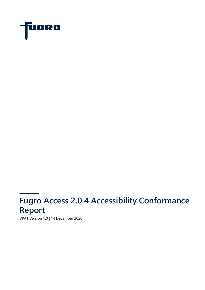

# **Fugro Access 2.0.4 Accessibility Conformance Report**

VPAT Version 1.0 | 14 December 2020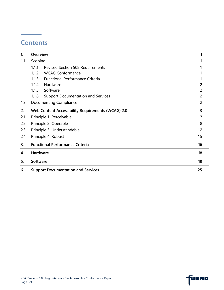### **Contents**

| 1.  | Overview |                                                   |                |
|-----|----------|---------------------------------------------------|----------------|
| 1.1 | Scoping  |                                                   |                |
|     | 1.1.1    | <b>Revised Section 508 Requirements</b>           |                |
|     | 1.1.2    | <b>WCAG Conformance</b>                           |                |
|     | 1.1.3    | <b>Functional Performance Criteria</b>            |                |
|     | 1.1.4    | Hardware                                          |                |
|     | 1.1.5    | Software                                          | 2              |
|     | 1.1.6    | <b>Support Documentation and Services</b>         | 2              |
| 1.2 |          | <b>Documenting Compliance</b>                     | $\overline{2}$ |
| 2.  |          | Web Content Accessibility Requirements (WCAG) 2.0 | 3              |
| 2.1 |          | Principle 1: Perceivable                          | 3              |
| 2.2 |          | Principle 2: Operable                             | 8              |
| 2.3 |          | Principle 3: Understandable                       | 12             |
| 2.4 |          | Principle 4: Robust                               | 15             |
| 3.  |          | <b>Functional Performance Criteria</b>            | 16             |
| 4.  | Hardware |                                                   | 18             |
| 5.  | Software |                                                   | 19             |
| 6.  |          | <b>Support Documentation and Services</b>         | 25             |

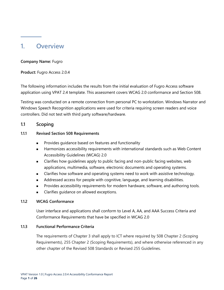### <span id="page-2-0"></span>**1. Overview**

#### **Company Name:** Fugro

**Product:** Fugro Access 2.0.4

The following information includes the results from the initial evaluation of Fugro Access software application using VPAT 2.4 template. This assessment covers WCAG 2.0 conformance and Section 508.

Testing was conducted on a remote connection from personal PC to workstation. Windows Narrator and Windows Speech Recognition applications were used for criteria requiring screen readers and voice controllers. Did not test with third party software/hardware.

#### <span id="page-2-1"></span>**1.1 Scoping**

#### <span id="page-2-2"></span>**1.1.1 Revised Section 508 Requirements**

- Provides guidance based on features and functionality
- Harmonizes accessibility requirements with international standards such as Web Content Accessibility Guidelines (WCAG) 2.0
- Clarifies how guidelines apply to public facing and non-public facing websites, web applications, multimedia, software, electronic documents and operating systems.
- Clarifies how software and operating systems need to work with assistive technology.
- Addressed access for people with cognitive, language, and learning disabilities.
- Provides accessibility requirements for modern hardware, software, and authoring tools.
- Clarifies quidance on allowed exceptions.

#### <span id="page-2-3"></span>**1.1.2 WCAG Conformance**

User interface and applications shall conform to Level A, AA, and AAA Success Criteria and Conformance Requirements that have be specified in WCAG 2.0

#### <span id="page-2-4"></span>**1.1.3 Functional Performance Criteria**

The requirements of Chapter 3 shall apply to ICT where required by 508 Chapter 2 (Scoping Requirements), 255 Chapter 2 (Scoping Requirements), and where otherwise referenced in any other chapter of the Revised 508 Standards or Revised 255 Guidelines.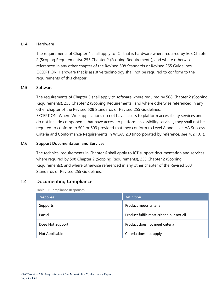#### <span id="page-3-0"></span>**1.1.4 Hardware**

The requirements of Chapter 4 shall apply to ICT that is hardware where required by 508 Chapter 2 (Scoping Requirements), 255 Chapter 2 (Scoping Requirements), and where otherwise referenced in any other chapter of the Revised 508 Standards or Revised 255 Guidelines. EXCEPTION: Hardware that is assistive technology shall not be required to conform to the requirements of this chapter.

#### <span id="page-3-1"></span>**1.1.5 Software**

The requirements of Chapter 5 shall apply to software where required by 508 Chapter 2 (Scoping Requirements), 255 Chapter 2 (Scoping Requirements), and where otherwise referenced in any other chapter of the Revised 508 Standards or Revised 255 Guidelines.

EXCEPTION: Where Web applications do not have access to platform accessibility services and do not include components that have access to platform accessibility services, they shall not be required to conform to 502 or 503 provided that they conform to Level A and Level AA Success Criteria and Conformance Requirements in WCAG 2.0 (incorporated by reference, see 702.10.1).

#### <span id="page-3-2"></span>**1.1.6 Support Documentation and Services**

The technical requirements in Chapter 6 shall apply to ICT support documentation and services where required by 508 Chapter 2 (Scoping Requirements), 255 Chapter 2 (Scoping Requirements), and where otherwise referenced in any other chapter of the Revised 508 Standards or Revised 255 Guidelines.

#### <span id="page-3-3"></span>**1.2 Documenting Compliance**

**Table 1.1: Compliance Responses**

| Response         | <b>Definition</b>                         |
|------------------|-------------------------------------------|
| Supports         | Product meets criteria                    |
| Partial          | Product fulfils most criteria but not all |
| Does Not Support | Product does not meet criteria            |
| Not Applicable   | Criteria does not apply                   |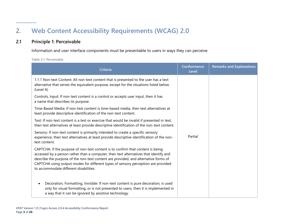## **2. Web Content Accessibility Requirements (WCAG) 2.0**

#### **2.1 Principle 1: Perceivable**

Information and user interface components must be presentable to users in ways they can perceive.

**Table 2.1: Perceivable**

<span id="page-4-1"></span><span id="page-4-0"></span>

| Criteria                                                                                                                                                                                                                                                                                                                                                                                       | Conformance<br>Level | <b>Remarks and Explanations</b> |  |  |  |
|------------------------------------------------------------------------------------------------------------------------------------------------------------------------------------------------------------------------------------------------------------------------------------------------------------------------------------------------------------------------------------------------|----------------------|---------------------------------|--|--|--|
| 1.1.1 Non-text Content: All non-text content that is presented to the user has a text<br>alternative that serves the equivalent purpose, except for the situations listed below.<br>(Level A)                                                                                                                                                                                                  | Partial              |                                 |  |  |  |
| Controls, Input: If non-text content is a control or accepts user input, then it has<br>a name that describes its purpose.                                                                                                                                                                                                                                                                     |                      |                                 |  |  |  |
| Time-Based Media: If non-text content is time-based media, then text alternatives at<br>least provide descriptive identification of the non-text content.                                                                                                                                                                                                                                      |                      |                                 |  |  |  |
| Test: If non-text content is a test or exercise that would be invalid if presented in text,<br>then text alternatives at least provide descriptive identification of the non-text content.                                                                                                                                                                                                     |                      |                                 |  |  |  |
| Sensory: If non-text content is primarily intended to create a specific sensory<br>experience, then text alternatives at least provide descriptive identification of the non-<br>text content.                                                                                                                                                                                                 |                      |                                 |  |  |  |
| CAPTCHA: If the purpose of non-text content is to confirm that content is being<br>accessed by a person rather than a computer, then text alternatives that identify and<br>describe the purpose of the non-text content are provided, and alternative forms of<br>CAPTCHA using output modes for different types of sensory perception are provided<br>to accommodate different disabilities. |                      |                                 |  |  |  |
| Decoration, Formatting, Invisible: If non-text content is pure decoration, is used<br>$\bullet$<br>only for visual formatting, or is not presented to users, then it is implemented in<br>a way that it can be ignored by assistive technology.                                                                                                                                                |                      |                                 |  |  |  |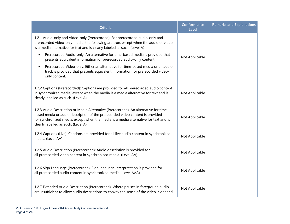| <b>Criteria</b>                                                                                                                                                                                                                                                                                      | Conformance<br>Level | <b>Remarks and Explanations</b> |
|------------------------------------------------------------------------------------------------------------------------------------------------------------------------------------------------------------------------------------------------------------------------------------------------------|----------------------|---------------------------------|
| 1.2.1 Audio-only and Video-only (Prerecorded): For prerecorded audio-only and<br>prerecorded video-only media, the following are true, except when the audio or video<br>is a media alternative for text and is clearly labeled as such: (Level A)                                                   |                      |                                 |
| Prerecorded Audio-only: An alternative for time-based media is provided that<br>$\bullet$<br>presents equivalent information for prerecorded audio-only content.                                                                                                                                     | Not Applicable       |                                 |
| Prerecorded Video-only: Either an alternative for time-based media or an audio<br>$\bullet$<br>track is provided that presents equivalent information for prerecorded video-<br>only content.                                                                                                        |                      |                                 |
| 1.2.2 Captions (Prerecorded): Captions are provided for all prerecorded audio content<br>in synchronized media, except when the media is a media alternative for text and is<br>clearly labelled as such. (Level A)                                                                                  | Not Applicable       |                                 |
| 1.2.3 Audio Description or Media Alternative (Prerecorded): An alternative for time-<br>based media or audio description of the prerecorded video content is provided<br>for synchronized media, except when the media is a media alternative for text and is<br>clearly labelled as such. (Level A) | Not Applicable       |                                 |
| 1.2.4 Captions (Live): Captions are provided for all live audio content in synchronized<br>media. (Level AA)                                                                                                                                                                                         | Not Applicable       |                                 |
| 1.2.5 Audio Description (Prerecorded): Audio description is provided for<br>all prerecorded video content in synchronized media. (Level AA)                                                                                                                                                          | Not Applicable       |                                 |
| 1.2.6 Sign Language (Prerecorded): Sign language interpretation is provided for<br>all prerecorded audio content in synchronized media. (Level AAA)                                                                                                                                                  | Not Applicable       |                                 |
| 1.2.7 Extended Audio Description (Prerecorded): Where pauses in foreground audio<br>are insufficient to allow audio descriptions to convey the sense of the video, extended                                                                                                                          | Not Applicable       |                                 |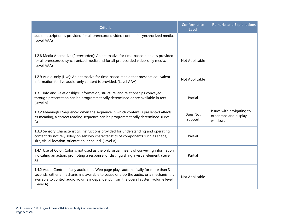| <b>Criteria</b>                                                                                                                                                                                                                                                                     | Conformance<br>Level | <b>Remarks and Explanations</b>                                |
|-------------------------------------------------------------------------------------------------------------------------------------------------------------------------------------------------------------------------------------------------------------------------------------|----------------------|----------------------------------------------------------------|
| audio description is provided for all prerecorded video content in synchronized media.<br>(Level AAA)                                                                                                                                                                               |                      |                                                                |
| 1.2.8 Media Alternative (Prerecorded): An alternative for time-based media is provided<br>for all prerecorded synchronized media and for all prerecorded video-only media.<br>(Level AAA)                                                                                           | Not Applicable       |                                                                |
| 1.2.9 Audio-only (Live): An alternative for time-based media that presents equivalent<br>information for live audio-only content is provided. (Level AAA)                                                                                                                           | Not Applicable       |                                                                |
| 1.3.1 Info and Relationships: Information, structure, and relationships conveyed<br>through presentation can be programmatically determined or are available in text.<br>(Level A)                                                                                                  | Partial              |                                                                |
| 1.3.2 Meaningful Sequence: When the sequence in which content is presented affects<br>its meaning, a correct reading sequence can be programmatically determined. (Level<br>A)                                                                                                      | Does Not<br>Support  | Issues with navigating to<br>other tabs and display<br>windows |
| 1.3.3 Sensory Characteristics: Instructions provided for understanding and operating<br>content do not rely solely on sensory characteristics of components such as shape,<br>size, visual location, orientation, or sound. (Level A)                                               | Partial              |                                                                |
| 1.4.1 Use of Color: Color is not used as the only visual means of conveying information,<br>indicating an action, prompting a response, or distinguishing a visual element. (Level<br>A)                                                                                            | Partial              |                                                                |
| 1.4.2 Audio Control: If any audio on a Web page plays automatically for more than 3<br>seconds, either a mechanism is available to pause or stop the audio, or a mechanism is<br>available to control audio volume independently from the overall system volume level.<br>(Level A) | Not Applicable       |                                                                |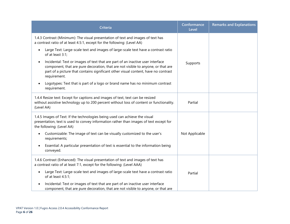| <b>Criteria</b>                                                                                                                                                                                                                                                                       | Conformance<br>Level | <b>Remarks and Explanations</b> |
|---------------------------------------------------------------------------------------------------------------------------------------------------------------------------------------------------------------------------------------------------------------------------------------|----------------------|---------------------------------|
| 1.4.3 Contrast (Minimum): The visual presentation of text and images of text has<br>a contrast ratio of at least 4.5:1, except for the following: (Level AA)                                                                                                                          |                      |                                 |
| Large Text: Large-scale text and images of large-scale text have a contrast ratio<br>$\bullet$<br>of at least 3:1;                                                                                                                                                                    |                      |                                 |
| Incidental: Text or images of text that are part of an inactive user interface<br>$\bullet$<br>component, that are pure decoration, that are not visible to anyone, or that are<br>part of a picture that contains significant other visual content, have no contrast<br>requirement. | Supports             |                                 |
| Logotypes: Text that is part of a logo or brand name has no minimum contrast<br>$\bullet$<br>requirement.                                                                                                                                                                             |                      |                                 |
| 1.4.4 Resize text: Except for captions and images of text, text can be resized<br>without assistive technology up to 200 percent without loss of content or functionality.<br>(Level AA)                                                                                              | Partial              |                                 |
| 1.4.5 Images of Text: If the technologies being used can achieve the visual<br>presentation, text is used to convey information rather than images of text except for<br>the following: (Level AA)                                                                                    |                      |                                 |
| Customizable: The image of text can be visually customized to the user's<br>$\bullet$<br>requirements;                                                                                                                                                                                | Not Applicable       |                                 |
| Essential: A particular presentation of text is essential to the information being<br>$\bullet$<br>conveyed.                                                                                                                                                                          |                      |                                 |
| 1.4.6 Contrast (Enhanced): The visual presentation of text and images of text has<br>a contrast ratio of at least 7:1, except for the following: (Level AAA)                                                                                                                          |                      |                                 |
| Large Text: Large-scale text and images of large-scale text have a contrast ratio<br>$\bullet$<br>of at least 4.5:1;                                                                                                                                                                  | Partial              |                                 |
| Incidental: Text or images of text that are part of an inactive user interface<br>component, that are pure decoration, that are not visible to anyone, or that are                                                                                                                    |                      |                                 |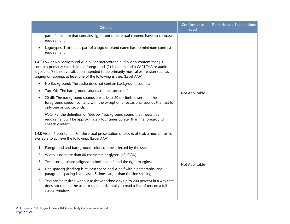| Criteria                                                                                                                                                                                                                                                                                                                              | Conformance<br><b>Level</b> | <b>Remarks and Explanations</b> |
|---------------------------------------------------------------------------------------------------------------------------------------------------------------------------------------------------------------------------------------------------------------------------------------------------------------------------------------|-----------------------------|---------------------------------|
| part of a picture that contains significant other visual content, have no contrast<br>requirement.                                                                                                                                                                                                                                    |                             |                                 |
| Logotypes: Text that is part of a logo or brand name has no minimum contrast<br>requirement.                                                                                                                                                                                                                                          |                             |                                 |
| 1.4.7 Low or No Background Audio: For prerecorded audio-only content that (1)<br>contains primarily speech in the foreground, (2) is not an audio CAPTCHA or audio<br>logo, and (3) is not vocalization intended to be primarily musical expression such as<br>singing or rapping, at least one of the following is true: (Level AAA) |                             |                                 |
| No Background: The audio does not contain background sounds.<br>$\bullet$                                                                                                                                                                                                                                                             |                             |                                 |
| Turn Off: The background sounds can be turned off.                                                                                                                                                                                                                                                                                    | Not Applicable              |                                 |
| 20 dB: The background sounds are at least 20 decibels lower than the<br>foreground speech content, with the exception of occasional sounds that last for<br>only one or two seconds.                                                                                                                                                  |                             |                                 |
| Note: Per the definition of "decibel," background sound that meets this<br>requirement will be approximately four times quieter than the foreground<br>speech content.                                                                                                                                                                |                             |                                 |
| 1.4.8 Visual Presentation: For the visual presentation of blocks of text, a mechanism is<br>available to achieve the following: (Level AAA)                                                                                                                                                                                           |                             |                                 |
| Foreground and background colors can be selected by the user.<br>1.                                                                                                                                                                                                                                                                   |                             |                                 |
| Width is no more than 80 characters or glyphs (40 if CJK).<br>2.                                                                                                                                                                                                                                                                      |                             |                                 |
| Text is not justified (aligned to both the left and the right margins).<br>3.                                                                                                                                                                                                                                                         | Not Applicable              |                                 |
| Line spacing (leading) is at least space-and-a-half within paragraphs, and<br>4.<br>paragraph spacing is at least 1.5 times larger than the line spacing.                                                                                                                                                                             |                             |                                 |
| Text can be resized without assistive technology up to 200 percent in a way that<br>5.<br>does not require the user to scroll horizontally to read a line of text on a full-<br>screen window.                                                                                                                                        |                             |                                 |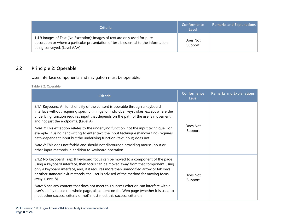| <b>Criteria</b>                                                                                                                                                                                    | Conformance<br>Level | <b>Remarks and Explanations</b> |
|----------------------------------------------------------------------------------------------------------------------------------------------------------------------------------------------------|----------------------|---------------------------------|
| 1.4.9 Images of Text (No Exception): Images of text are only used for pure<br>decoration or where a particular presentation of text is essential to the information<br>being conveyed. (Level AAA) | Does Not<br>Support  |                                 |

### **2.2 Principle 2: Operable**

User interface components and navigation must be operable.

**Table 2.2: Operable**

<span id="page-9-0"></span>

| <b>Criteria</b>                                                                                                                                                                                                                                                                                                                                                           | Conformance<br>Level | <b>Remarks and Explanations</b> |
|---------------------------------------------------------------------------------------------------------------------------------------------------------------------------------------------------------------------------------------------------------------------------------------------------------------------------------------------------------------------------|----------------------|---------------------------------|
| 2.1.1 Keyboard: All functionality of the content is operable through a keyboard<br>interface without requiring specific timings for individual keystrokes, except where the<br>underlying function requires input that depends on the path of the user's movement<br>and not just the endpoints. (Level A)                                                                | Does Not<br>Support  |                                 |
| <i>Note 1:</i> This exception relates to the underlying function, not the input technique. For<br>example, if using handwriting to enter text, the input technique (handwriting) requires<br>path-dependent input but the underlying function (text input) does not.                                                                                                      |                      |                                 |
| <i>Note 2:</i> This does not forbid and should not discourage providing mouse input or<br>other input methods in addition to keyboard operation                                                                                                                                                                                                                           |                      |                                 |
| 2.1.2 No Keyboard Trap: If keyboard focus can be moved to a component of the page<br>using a keyboard interface, then focus can be moved away from that component using<br>only a keyboard interface, and, if it requires more than unmodified arrow or tab keys<br>or other standard exit methods, the user is advised of the method for moving focus<br>away. (Level A) | Does Not<br>Support  |                                 |
| Note: Since any content that does not meet this success criterion can interfere with a<br>user's ability to use the whole page, all content on the Web page (whether it is used to<br>meet other success criteria or not) must meet this success criterion.                                                                                                               |                      |                                 |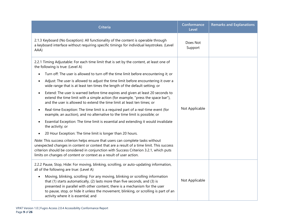| <b>Criteria</b>                                                                                                                                                                                                                                                                                                                                                                          | Conformance<br>Level | <b>Remarks and Explanations</b> |
|------------------------------------------------------------------------------------------------------------------------------------------------------------------------------------------------------------------------------------------------------------------------------------------------------------------------------------------------------------------------------------------|----------------------|---------------------------------|
| 2.1.3 Keyboard (No Exception): All functionality of the content is operable through<br>a keyboard interface without requiring specific timings for individual keystrokes. (Level<br>AAA)                                                                                                                                                                                                 | Does Not<br>Support  |                                 |
| 2.2.1 Timing Adjustable: For each time limit that is set by the content, at least one of<br>the following is true: (Level A)                                                                                                                                                                                                                                                             |                      |                                 |
| Turn off: The user is allowed to turn off the time limit before encountering it; or                                                                                                                                                                                                                                                                                                      |                      |                                 |
| Adjust: The user is allowed to adjust the time limit before encountering it over a<br>$\bullet$<br>wide range that is at least ten times the length of the default setting; or                                                                                                                                                                                                           | Not Applicable       |                                 |
| Extend: The user is warned before time expires and given at least 20 seconds to<br>$\bullet$<br>extend the time limit with a simple action (for example, "press the space bar"),<br>and the user is allowed to extend the time limit at least ten times; or                                                                                                                              |                      |                                 |
| Real-time Exception: The time limit is a required part of a real-time event (for<br>$\bullet$<br>example, an auction), and no alternative to the time limit is possible; or                                                                                                                                                                                                              |                      |                                 |
| Essential Exception: The time limit is essential and extending it would invalidate<br>the activity; or                                                                                                                                                                                                                                                                                   |                      |                                 |
| 20 Hour Exception: The time limit is longer than 20 hours.                                                                                                                                                                                                                                                                                                                               |                      |                                 |
| Note: This success criterion helps ensure that users can complete tasks without<br>unexpected changes in content or context that are a result of a time limit. This success<br>criterion should be considered in conjunction with Success Criterion 3.2.1, which puts<br>limits on changes of content or context as a result of user action.                                             |                      |                                 |
| 2.2.2 Pause, Stop, Hide: For moving, blinking, scrolling, or auto-updating information,<br>all of the following are true: (Level A)                                                                                                                                                                                                                                                      |                      |                                 |
| Moving, blinking, scrolling: For any moving, blinking or scrolling information<br>$\bullet$<br>that (1) starts automatically, (2) lasts more than five seconds, and (3) is<br>presented in parallel with other content, there is a mechanism for the user<br>to pause, stop, or hide it unless the movement, blinking, or scrolling is part of an<br>activity where it is essential; and | Not Applicable       |                                 |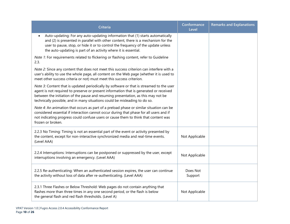| Criteria                                                                                                                                                                                                                                                                                                                                              | Conformance<br>Level | <b>Remarks and Explanations</b> |
|-------------------------------------------------------------------------------------------------------------------------------------------------------------------------------------------------------------------------------------------------------------------------------------------------------------------------------------------------------|----------------------|---------------------------------|
| Auto-updating: For any auto-updating information that (1) starts automatically<br>and (2) is presented in parallel with other content, there is a mechanism for the<br>user to pause, stop, or hide it or to control the frequency of the update unless<br>the auto-updating is part of an activity where it is essential.                            |                      |                                 |
| Note 1: For requirements related to flickering or flashing content, refer to Guideline<br>2.3.                                                                                                                                                                                                                                                        |                      |                                 |
| Note 2: Since any content that does not meet this success criterion can interfere with a<br>user's ability to use the whole page, all content on the Web page (whether it is used to<br>meet other success criteria or not) must meet this success criterion.                                                                                         |                      |                                 |
| Note 3: Content that is updated periodically by software or that is streamed to the user<br>agent is not required to preserve or present information that is generated or received<br>between the initiation of the pause and resuming presentation, as this may not be<br>technically possible, and in many situations could be misleading to do so. |                      |                                 |
| Note 4: An animation that occurs as part of a preload phase or similar situation can be<br>considered essential if interaction cannot occur during that phase for all users and if<br>not indicating progress could confuse users or cause them to think that content was<br>frozen or broken.                                                        |                      |                                 |
| 2.2.3 No Timing: Timing is not an essential part of the event or activity presented by<br>the content, except for non-interactive synchronized media and real-time events.<br>(Level AAA)                                                                                                                                                             | Not Applicable       |                                 |
| 2.2.4 Interruptions: Interruptions can be postponed or suppressed by the user, except<br>interruptions involving an emergency. (Level AAA)                                                                                                                                                                                                            | Not Applicable       |                                 |
| 2.2.5 Re-authenticating: When an authenticated session expires, the user can continue<br>the activity without loss of data after re-authenticating. (Level AAA)                                                                                                                                                                                       | Does Not<br>Support  |                                 |
| 2.3.1 Three Flashes or Below Threshold: Web pages do not contain anything that<br>flashes more than three times in any one second period, or the flash is below<br>the general flash and red flash thresholds. (Level A)                                                                                                                              | Not Applicable       |                                 |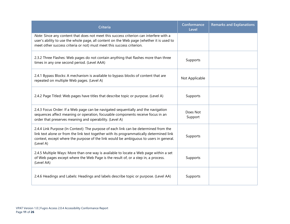| <b>Criteria</b>                                                                                                                                                                                                                                                                        | Conformance<br>Level | <b>Remarks and Explanations</b> |
|----------------------------------------------------------------------------------------------------------------------------------------------------------------------------------------------------------------------------------------------------------------------------------------|----------------------|---------------------------------|
| Note: Since any content that does not meet this success criterion can interfere with a<br>user's ability to use the whole page, all content on the Web page (whether it is used to<br>meet other success criteria or not) must meet this success criterion.                            |                      |                                 |
| 2.3.2 Three Flashes: Web pages do not contain anything that flashes more than three<br>times in any one second period. (Level AAA)                                                                                                                                                     | Supports             |                                 |
| 2.4.1 Bypass Blocks: A mechanism is available to bypass blocks of content that are<br>repeated on multiple Web pages. (Level A)                                                                                                                                                        | Not Applicable       |                                 |
| 2.4.2 Page Titled: Web pages have titles that describe topic or purpose. (Level A)                                                                                                                                                                                                     | Supports             |                                 |
| 2.4.3 Focus Order: If a Web page can be navigated sequentially and the navigation<br>sequences affect meaning or operation, focusable components receive focus in an<br>order that preserves meaning and operability. (Level A)                                                        | Does Not<br>Support  |                                 |
| 2.4.4 Link Purpose (In Context): The purpose of each link can be determined from the<br>link text alone or from the link text together with its programmatically determined link<br>context, except where the purpose of the link would be ambiguous to users in general.<br>(Level A) | Supports             |                                 |
| 2.4.5 Multiple Ways: More than one way is available to locate a Web page within a set<br>of Web pages except where the Web Page is the result of, or a step in, a process.<br>(Level AA)                                                                                               | Supports             |                                 |
| 2.4.6 Headings and Labels: Headings and labels describe topic or purpose. (Level AA)                                                                                                                                                                                                   | Supports             |                                 |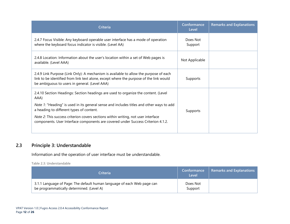| Criteria                                                                                                                                                                                                                         | Conformance<br>Level | <b>Remarks and Explanations</b> |
|----------------------------------------------------------------------------------------------------------------------------------------------------------------------------------------------------------------------------------|----------------------|---------------------------------|
| 2.4.7 Focus Visible: Any keyboard operable user interface has a mode of operation<br>where the keyboard focus indicator is visible. (Level AA)                                                                                   | Does Not<br>Support  |                                 |
| 2.4.8 Location: Information about the user's location within a set of Web pages is<br>available. (Level AAA)                                                                                                                     | Not Applicable       |                                 |
| 2.4.9 Link Purpose (Link Only): A mechanism is available to allow the purpose of each<br>link to be identified from link text alone, except where the purpose of the link would<br>be ambiguous to users in general. (Level AAA) | Supports             |                                 |
| 2.4.10 Section Headings: Section headings are used to organize the content. (Level<br>AAA)                                                                                                                                       |                      |                                 |
| Note 1: "Heading" is used in its general sense and includes titles and other ways to add<br>a heading to different types of content.                                                                                             | Supports             |                                 |
| <i>Note 2:</i> This success criterion covers sections within writing, not user interface<br>components. User Interface components are covered under Success Criterion 4.1.2.                                                     |                      |                                 |

#### **2.3 Principle 3: Understandable**

Information and the operation of user interface must be understandable.

**Table 2.3: Understandable**

<span id="page-13-0"></span>

| Criteria                                                                                                             | Conformance<br>Level | Remarks and Explanations |
|----------------------------------------------------------------------------------------------------------------------|----------------------|--------------------------|
| 3.1.1 Language of Page: The default human language of each Web page can<br>be programmatically determined. (Level A) | Does Not<br>Support  |                          |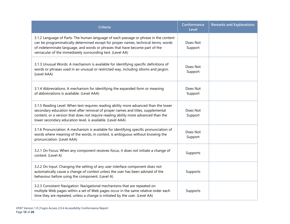| <b>Criteria</b>                                                                                                                                                                                                                                                                                                              | Conformance<br>Level | <b>Remarks and Explanations</b> |
|------------------------------------------------------------------------------------------------------------------------------------------------------------------------------------------------------------------------------------------------------------------------------------------------------------------------------|----------------------|---------------------------------|
| 3.1.2 Language of Parts: The human language of each passage or phrase in the content<br>can be programmatically determined except for proper names, technical terms, words<br>of indeterminate language, and words or phrases that have become part of the<br>vernacular of the immediately surrounding text. (Level AA)     | Does Not<br>Support  |                                 |
| 3.1.3 Unusual Words: A mechanism is available for identifying specific definitions of<br>words or phrases used in an unusual or restricted way, including idioms and jargon.<br>(Level AAA)                                                                                                                                  | Does Not<br>Support  |                                 |
| 3.1.4 Abbreviations: A mechanism for identifying the expanded form or meaning<br>of abbreviations is available. (Level AAA)                                                                                                                                                                                                  | Does Not<br>Support  |                                 |
| 3.1.5 Reading Level: When text requires reading ability more advanced than the lower<br>secondary education level after removal of proper names and titles, supplemental<br>content, or a version that does not require reading ability more advanced than the<br>lower secondary education level, is available. (Level AAA) | Does Not<br>Support  |                                 |
| 3.1.6 Pronunciation: A mechanism is available for identifying specific pronunciation of<br>words where meaning of the words, in context, is ambiguous without knowing the<br>pronunciation. (Level AAA)                                                                                                                      | Does Not<br>Support  |                                 |
| 3.2.1 On Focus: When any component receives focus, it does not initiate a change of<br>context. (Level A)                                                                                                                                                                                                                    | Supports             |                                 |
| 3.2.2 On Input: Changing the setting of any user interface component does not<br>automatically cause a change of context unless the user has been advised of the<br>behaviour before using the component. (Level A)                                                                                                          | Supports             |                                 |
| 3.2.3 Consistent Navigation: Navigational mechanisms that are repeated on<br>multiple Web pages within a set of Web pages occur in the same relative order each<br>time they are repeated, unless a change is initiated by the user. (Level AA)                                                                              | Supports             |                                 |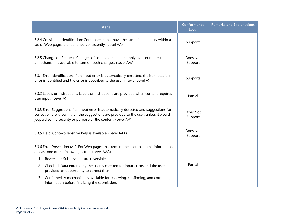| <b>Criteria</b>                                                                                                                                                                                                                                  | Conformance<br>Level | <b>Remarks and Explanations</b> |
|--------------------------------------------------------------------------------------------------------------------------------------------------------------------------------------------------------------------------------------------------|----------------------|---------------------------------|
| 3.2.4 Consistent Identification: Components that have the same functionality within a<br>set of Web pages are identified consistently. (Level AA)                                                                                                | Supports             |                                 |
| 3.2.5 Change on Request: Changes of context are initiated only by user request or<br>a mechanism is available to turn off such changes. (Level AAA)                                                                                              | Does Not<br>Support  |                                 |
| 3.3.1 Error Identification: If an input error is automatically detected, the item that is in<br>error is identified and the error is described to the user in text. (Level A)                                                                    | Supports             |                                 |
| 3.3.2 Labels or Instructions: Labels or instructions are provided when content requires<br>user input. (Level A)                                                                                                                                 | Partial              |                                 |
| 3.3.3 Error Suggestion: If an input error is automatically detected and suggestions for<br>correction are known, then the suggestions are provided to the user, unless it would<br>jeopardize the security or purpose of the content. (Level AA) | Does Not<br>Support  |                                 |
| 3.3.5 Help: Context-sensitive help is available. (Level AAA)                                                                                                                                                                                     | Does Not<br>Support  |                                 |
| 3.3.6 Error Prevention (All): For Web pages that require the user to submit information,<br>at least one of the following is true: (Level AAA)                                                                                                   |                      |                                 |
| 1. Reversible: Submissions are reversible.                                                                                                                                                                                                       |                      |                                 |
| Checked: Data entered by the user is checked for input errors and the user is<br>2.<br>provided an opportunity to correct them.                                                                                                                  | Partial              |                                 |
| Confirmed: A mechanism is available for reviewing, confirming, and correcting<br>3.<br>information before finalizing the submission.                                                                                                             |                      |                                 |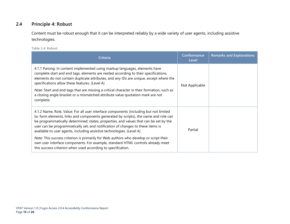#### **2.4 Principle 4: Robust**

Content must be robust enough that it can be interpreted reliably by a wide variety of user agents, including assistive technologies.

**Table 2.4: Robust**

<span id="page-16-0"></span>

| Criteria                                                                                                                                                                                                                                                                                                                                                                                                                                                                                       | Conformance<br>Level | <b>Remarks and Explanations</b> |
|------------------------------------------------------------------------------------------------------------------------------------------------------------------------------------------------------------------------------------------------------------------------------------------------------------------------------------------------------------------------------------------------------------------------------------------------------------------------------------------------|----------------------|---------------------------------|
| 4.1.1 Parsing: In content implemented using markup languages, elements have<br>complete start and end tags, elements are nested according to their specifications,<br>elements do not contain duplicate attributes, and any IDs are unique, except where the<br>specifications allow these features. (Level A)<br>Note: Start and end tags that are missing a critical character in their formation, such as<br>a closing angle bracket or a mismatched attribute value quotation mark are not | Not Applicable       |                                 |
| complete.                                                                                                                                                                                                                                                                                                                                                                                                                                                                                      |                      |                                 |
| 4.1.2 Name, Role, Value: For all user interface components (including but not limited<br>to: form elements, links and components generated by scripts), the name and role can<br>be programmatically determined; states, properties, and values that can be set by the<br>user can be programmatically set; and notification of changes to these items is<br>available to user agents, including assistive technologies. (Level A)                                                             | Partial              |                                 |
| Note: This success criterion is primarily for Web authors who develop or script their<br>own user interface components. For example, standard HTML controls already meet<br>this success criterion when used according to specification.                                                                                                                                                                                                                                                       |                      |                                 |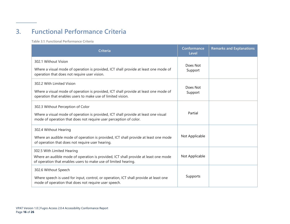## **3. Functional Performance Criteria**

**Table 3.1: Functional Performance Criteria**

<span id="page-17-0"></span>

| Criteria                                                                                                                                                                                      | Conformance<br>Level | <b>Remarks and Explanations</b> |
|-----------------------------------------------------------------------------------------------------------------------------------------------------------------------------------------------|----------------------|---------------------------------|
| 302.1 Without Vision<br>Where a visual mode of operation is provided, ICT shall provide at least one mode of<br>operation that does not require user vision.                                  | Does Not<br>Support  |                                 |
| 302.2 With Limited Vision<br>Where a visual mode of operation is provided, ICT shall provide at least one mode of<br>operation that enables users to make use of limited vision.              | Does Not<br>Support  |                                 |
| 302.3 Without Perception of Color<br>Where a visual mode of operation is provided, ICT shall provide at least one visual<br>mode of operation that does not require user perception of color. | Partial              |                                 |
| 302.4 Without Hearing<br>Where an audible mode of operation is provided, ICT shall provide at least one mode<br>of operation that does not require user hearing.                              | Not Applicable       |                                 |
| 302.5 With Limited Hearing<br>Where an audible mode of operation is provided, ICT shall provide at least one mode<br>of operation that enables users to make use of limited hearing.          | Not Applicable       |                                 |
| 302.6 Without Speech<br>Where speech is used for input, control, or operation, ICT shall provide at least one<br>mode of operation that does not require user speech.                         | Supports             |                                 |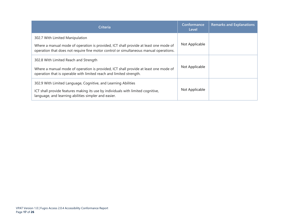| <b>Criteria</b>                                                                                                                                                                                                  | Conformance<br>Level | <b>Remarks and Explanations</b> |
|------------------------------------------------------------------------------------------------------------------------------------------------------------------------------------------------------------------|----------------------|---------------------------------|
| 302.7 With Limited Manipulation<br>Where a manual mode of operation is provided, ICT shall provide at least one mode of<br>operation that does not require fine motor control or simultaneous manual operations. | Not Applicable       |                                 |
| 302.8 With Limited Reach and Strength<br>Where a manual mode of operation is provided, ICT shall provide at least one mode of<br>operation that is operable with limited reach and limited strength.             | Not Applicable       |                                 |
| 302.9 With Limited Language, Cognitive, and Learning Abilities<br>ICT shall provide features making its use by individuals with limited cognitive,<br>language, and learning abilities simpler and easier.       | Not Applicable       |                                 |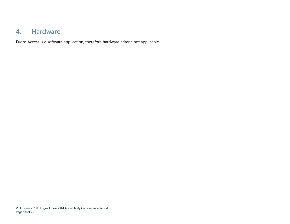### **4. Hardware**

<span id="page-19-0"></span>Fugro Access is a software application, therefore hardware criteria not applicable.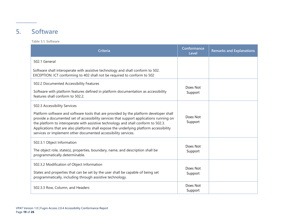### **5. Software**

**Table 5.1: Software**

<span id="page-20-0"></span>

| Criteria                                                                                                                                                                                                                                                                                                                                                                                                                                                             | Conformance<br>Level | <b>Remarks and Explanations</b> |
|----------------------------------------------------------------------------------------------------------------------------------------------------------------------------------------------------------------------------------------------------------------------------------------------------------------------------------------------------------------------------------------------------------------------------------------------------------------------|----------------------|---------------------------------|
| 502.1 General                                                                                                                                                                                                                                                                                                                                                                                                                                                        |                      |                                 |
| Software shall interoperate with assistive technology and shall conform to 502.<br>EXCEPTION: ICT conforming to 402 shall not be required to conform to 502                                                                                                                                                                                                                                                                                                          |                      |                                 |
| 502.2 Documented Accessibility Features<br>Software with platform features defined in platform documentation as accessibility<br>features shall conform to 502.2.                                                                                                                                                                                                                                                                                                    | Does Not<br>Support  |                                 |
| 502.3 Accessibility Services<br>Platform software and software tools that are provided by the platform developer shall<br>provide a documented set of accessibility services that support applications running on<br>the platform to interoperate with assistive technology and shall conform to 502.3.<br>Applications that are also platforms shall expose the underlying platform accessibility<br>services or implement other documented accessibility services. | Does Not<br>Support  |                                 |
| 502.3.1 Object Information<br>The object role, state(s), properties, boundary, name, and description shall be<br>programmatically determinable.                                                                                                                                                                                                                                                                                                                      | Does Not<br>Support  |                                 |
| 502.3.2 Modification of Object Information<br>States and properties that can be set by the user shall be capable of being set<br>programmatically, including through assistive technology.                                                                                                                                                                                                                                                                           | Does Not<br>Support  |                                 |
| 502.3.3 Row, Column, and Headers                                                                                                                                                                                                                                                                                                                                                                                                                                     | Does Not<br>Support  |                                 |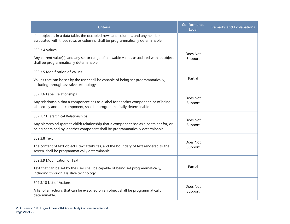| <b>Criteria</b>                                                                                                                                                                                                 | Conformance<br>Level | <b>Remarks and Explanations</b> |
|-----------------------------------------------------------------------------------------------------------------------------------------------------------------------------------------------------------------|----------------------|---------------------------------|
| If an object is in a data table, the occupied rows and columns, and any headers<br>associated with those rows or columns, shall be programmatically determinable.                                               |                      |                                 |
| 502.3.4 Values<br>Any current value(s), and any set or range of allowable values associated with an object,<br>shall be programmatically determinable.                                                          | Does Not<br>Support  |                                 |
| 502.3.5 Modification of Values<br>Values that can be set by the user shall be capable of being set programmatically,<br>including through assistive technology.                                                 | Partial              |                                 |
| 502.3.6 Label Relationships<br>Any relationship that a component has as a label for another component, or of being<br>labeled by another component, shall be programmatically determinable                      | Does Not<br>Support  |                                 |
| 502.3.7 Hierarchical Relationships<br>Any hierarchical (parent-child) relationship that a component has as a container for, or<br>being contained by, another component shall be programmatically determinable. | Does Not<br>Support  |                                 |
| 502.3.8 Text<br>The content of text objects, text attributes, and the boundary of text rendered to the<br>screen, shall be programmatically determinable.                                                       | Does Not<br>Support  |                                 |
| 502.3.9 Modification of Text<br>Text that can be set by the user shall be capable of being set programmatically,<br>including through assistive technology.                                                     | Partial              |                                 |
| 502.3.10 List of Actions<br>A list of all actions that can be executed on an object shall be programmatically<br>determinable.                                                                                  | Does Not<br>Support  |                                 |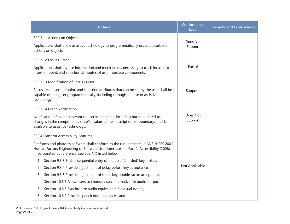| <b>Criteria</b>                                                                                                                                                                                                                         | Conformance<br>Level | <b>Remarks and Explanations</b> |
|-----------------------------------------------------------------------------------------------------------------------------------------------------------------------------------------------------------------------------------------|----------------------|---------------------------------|
| 502.3.11 Actions on Objects                                                                                                                                                                                                             | Does Not             |                                 |
| Applications shall allow assistive technology to programmatically execute available<br>actions on objects                                                                                                                               | Support              |                                 |
| 502.3.12 Focus Cursor                                                                                                                                                                                                                   |                      |                                 |
| Applications shall expose information and mechanisms necessary to track focus, text<br>insertion point, and selection attributes of user interface components.                                                                          | Partial              |                                 |
| 502.3.13 Modification of Focus Cursor                                                                                                                                                                                                   |                      |                                 |
| Focus, text insertion point, and selection attributes that can be set by the user shall be<br>capable of being set programmatically, including through the use of assistive<br>technology.                                              | Supports             |                                 |
| 502.3.14 Event Notification                                                                                                                                                                                                             |                      |                                 |
| Notification of events relevant to user interactions, including but not limited to,<br>changes in the component's state(s), value, name, description, or boundary, shall be<br>available to assistive technology.                       | Does Not<br>Support  |                                 |
| 502.4 Platform Accessibility Features                                                                                                                                                                                                   |                      |                                 |
| Platforms and platform software shall conform to the requirements in ANSI/HFES 200.2,<br>Human Factors Engineering of Software User Interfaces - Part 2: Accessibility (2008)<br>(incorporated by reference, see 702.4.1) listed below: |                      |                                 |
| 1. Section 9.3.3 Enable sequential entry of multiple (chorded) keystrokes;                                                                                                                                                              | Not Applicable       |                                 |
| Section 9.3.4 Provide adjustment of delay before key acceptance;<br>2.                                                                                                                                                                  |                      |                                 |
| Section 9.3.5 Provide adjustment of same-key double-strike acceptance;<br>3.                                                                                                                                                            |                      |                                 |
| Section 10.6.7 Allow users to choose visual alternative for audio output;<br>4.                                                                                                                                                         |                      |                                 |
| Section 10.6.8 Synchronize audio equivalents for visual events;<br>5.                                                                                                                                                                   |                      |                                 |
| Section 10.6.9 Provide speech output services; and<br>6.                                                                                                                                                                                |                      |                                 |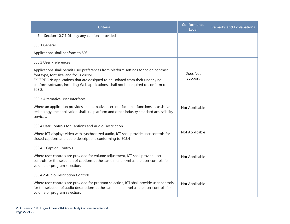| <b>Criteria</b>                                                                                                                                                                                                                                                                                                     | Conformance<br>Level | <b>Remarks and Explanations</b> |
|---------------------------------------------------------------------------------------------------------------------------------------------------------------------------------------------------------------------------------------------------------------------------------------------------------------------|----------------------|---------------------------------|
| 7. Section 10.7.1 Display any captions provided.                                                                                                                                                                                                                                                                    |                      |                                 |
| 503.1 General                                                                                                                                                                                                                                                                                                       |                      |                                 |
| Applications shall conform to 503.                                                                                                                                                                                                                                                                                  |                      |                                 |
| 503.2 User Preferences                                                                                                                                                                                                                                                                                              |                      |                                 |
| Applications shall permit user preferences from platform settings for color, contrast,<br>font type, font size, and focus cursor.<br>EXCEPTION: Applications that are designed to be isolated from their underlying<br>platform software, including Web applications, shall not be required to conform to<br>503.2. | Does Not<br>Support  |                                 |
| 503.3 Alternative User Interfaces                                                                                                                                                                                                                                                                                   |                      |                                 |
| Where an application provides an alternative user interface that functions as assistive<br>technology, the application shall use platform and other industry standard accessibility<br>services.                                                                                                                    | Not Applicable       |                                 |
| 503.4 User Controls for Captions and Audio Description                                                                                                                                                                                                                                                              |                      |                                 |
| Where ICT displays video with synchronized audio, ICT shall provide user controls for<br>closed captions and audio descriptions conforming to 503.4                                                                                                                                                                 | Not Applicable       |                                 |
| 503.4.1 Caption Controls                                                                                                                                                                                                                                                                                            |                      |                                 |
| Where user controls are provided for volume adjustment, ICT shall provide user<br>controls for the selection of captions at the same menu level as the user controls for<br>volume or program selection.                                                                                                            | Not Applicable       |                                 |
| 503.4.2 Audio Description Controls                                                                                                                                                                                                                                                                                  |                      |                                 |
| Where user controls are provided for program selection, ICT shall provide user controls<br>for the selection of audio descriptions at the same menu level as the user controls for<br>volume or program selection.                                                                                                  | Not Applicable       |                                 |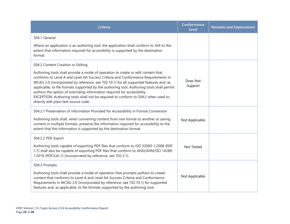| <b>Criteria</b>                                                                                                                                                                                                                                                                                                                                                                                                                                                                                                                                                       | Conformance<br>Level | <b>Remarks and Explanations</b> |
|-----------------------------------------------------------------------------------------------------------------------------------------------------------------------------------------------------------------------------------------------------------------------------------------------------------------------------------------------------------------------------------------------------------------------------------------------------------------------------------------------------------------------------------------------------------------------|----------------------|---------------------------------|
| 504.1 General                                                                                                                                                                                                                                                                                                                                                                                                                                                                                                                                                         |                      |                                 |
| Where an application is an authoring tool, the application shall conform to 504 to the<br>extent that information required for accessibility is supported by the destination<br>format.                                                                                                                                                                                                                                                                                                                                                                               |                      |                                 |
| 504.2 Content Creation or Editing                                                                                                                                                                                                                                                                                                                                                                                                                                                                                                                                     |                      |                                 |
| Authoring tools shall provide a mode of operation to create or edit content that<br>conforms to Level A and Level AA Success Criteria and Conformance Requirements in<br>WCAG 2.0 (incorporated by reference, see 702.10.1) for all supported features and, as<br>applicable, to file formats supported by the authoring tool. Authoring tools shall permit<br>authors the option of overriding information required for accessibility.<br>EXCEPTION: Authoring tools shall not be required to conform to 504.2 when used to<br>directly edit plain text source code. | Does Not<br>Support  |                                 |
| 504.2.1 Preservation of Information Provided for Accessibility in Format Conversion<br>Authoring tools shall, when converting content from one format to another or saving<br>content in multiple formats, preserve the information required for accessibility to the<br>extent that the information is supported by the destination format.                                                                                                                                                                                                                          | Not Applicable       |                                 |
| 504.2.2 PDF Export                                                                                                                                                                                                                                                                                                                                                                                                                                                                                                                                                    |                      |                                 |
| Authoring tools capable of exporting PDF files that conform to ISO 32000-1:2008 (PDF<br>1.7) shall also be capable of exporting PDF files that conform to ANSI/AIIM/ISO 14289-<br>1:2016 (PDF/UA-1) (incorporated by reference, see 702.3.1).                                                                                                                                                                                                                                                                                                                         | Not Tested           |                                 |
| 504.3 Prompts                                                                                                                                                                                                                                                                                                                                                                                                                                                                                                                                                         |                      |                                 |
| Authoring tools shall provide a mode of operation that prompts authors to create<br>content that conforms to Level A and Level AA Success Criteria and Conformance<br>Requirements in WCAG 2.0 (incorporated by reference, see 702.10.1) for supported<br>features and, as applicable, to file formats supported by the authoring tool.                                                                                                                                                                                                                               | Not Applicable       |                                 |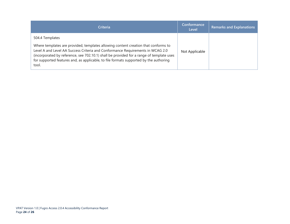| <b>Criteria</b>                                                                                                                                                                                                                                                                                                                                                                       | Conformance<br>Level | <b>Remarks and Explanations</b> |
|---------------------------------------------------------------------------------------------------------------------------------------------------------------------------------------------------------------------------------------------------------------------------------------------------------------------------------------------------------------------------------------|----------------------|---------------------------------|
| 504.4 Templates<br>Where templates are provided, templates allowing content creation that conforms to<br>Level A and Level AA Success Criteria and Conformance Requirements in WCAG 2.0<br>(incorporated by reference, see 702.10.1) shall be provided for a range of template uses<br>for supported features and, as applicable, to file formats supported by the authoring<br>tool. | Not Applicable       |                                 |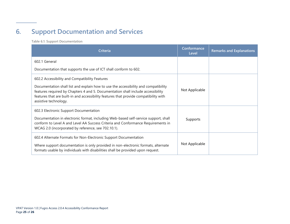## **6. Support Documentation and Services**

**Table 6.1: Support Documentation**

<span id="page-26-0"></span>

| <b>Criteria</b>                                                                                                                                                                                                                                                                           | Conformance<br>Level | <b>Remarks and Explanations</b> |
|-------------------------------------------------------------------------------------------------------------------------------------------------------------------------------------------------------------------------------------------------------------------------------------------|----------------------|---------------------------------|
| 602.1 General                                                                                                                                                                                                                                                                             |                      |                                 |
| Documentation that supports the use of ICT shall conform to 602.                                                                                                                                                                                                                          |                      |                                 |
| 602.2 Accessibility and Compatibility Features                                                                                                                                                                                                                                            |                      |                                 |
| Documentation shall list and explain how to use the accessibility and compatibility<br>features required by Chapters 4 and 5. Documentation shall include accessibility<br>features that are built-in and accessibility features that provide compatibility with<br>assistive technology. | Not Applicable       |                                 |
| 602.3 Electronic Support Documentation<br>Documentation in electronic format, including Web-based self-service support, shall<br>conform to Level A and Level AA Success Criteria and Conformance Requirements in<br>WCAG 2.0 (incorporated by reference, see 702.10.1).                  | Supports             |                                 |
| 602.4 Alternate Formats for Non-Electronic Support Documentation<br>Where support documentation is only provided in non-electronic formats, alternate<br>formats usable by individuals with disabilities shall be provided upon request.                                                  | Not Applicable       |                                 |